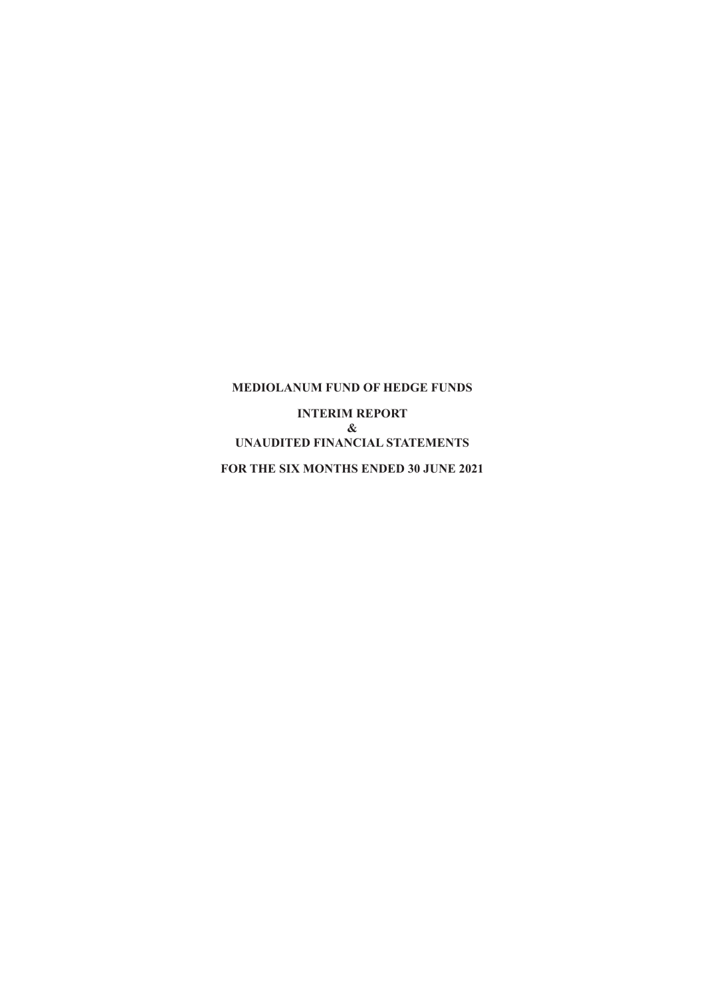**INTERIM REPORT & UNAUDITED FINANCIAL STATEMENTS FOR THE SIX MONTHS ENDED 30 JUNE 2021**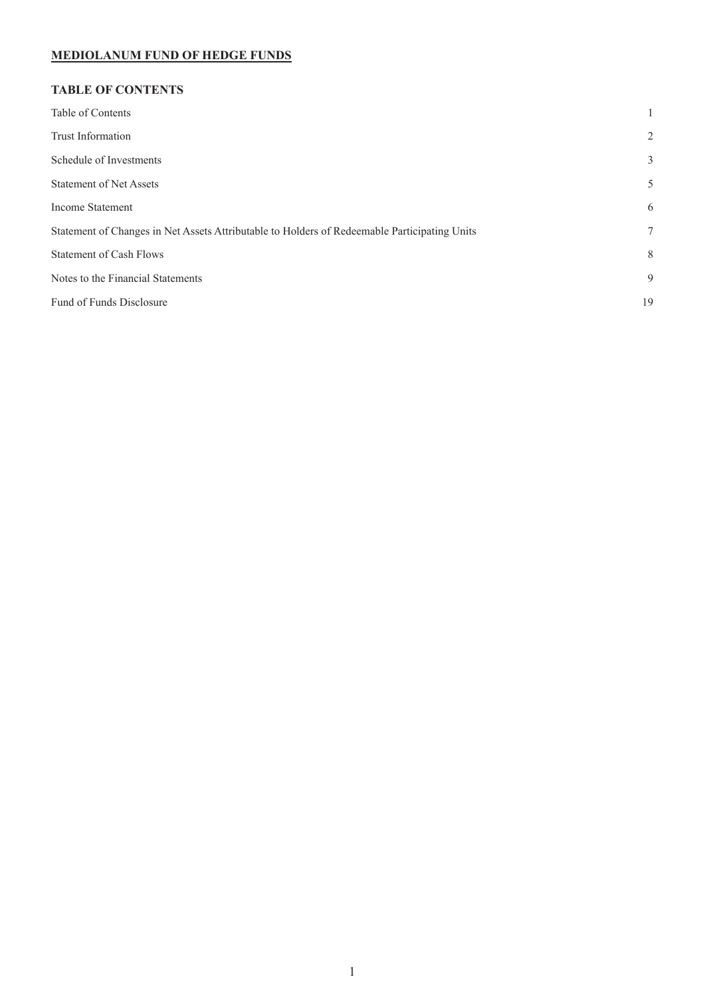# **TABLE OF CONTENTS**

| 2  |
|----|
| 3  |
| 5  |
| 6  |
| 7  |
| 8  |
| 9  |
| 19 |
|    |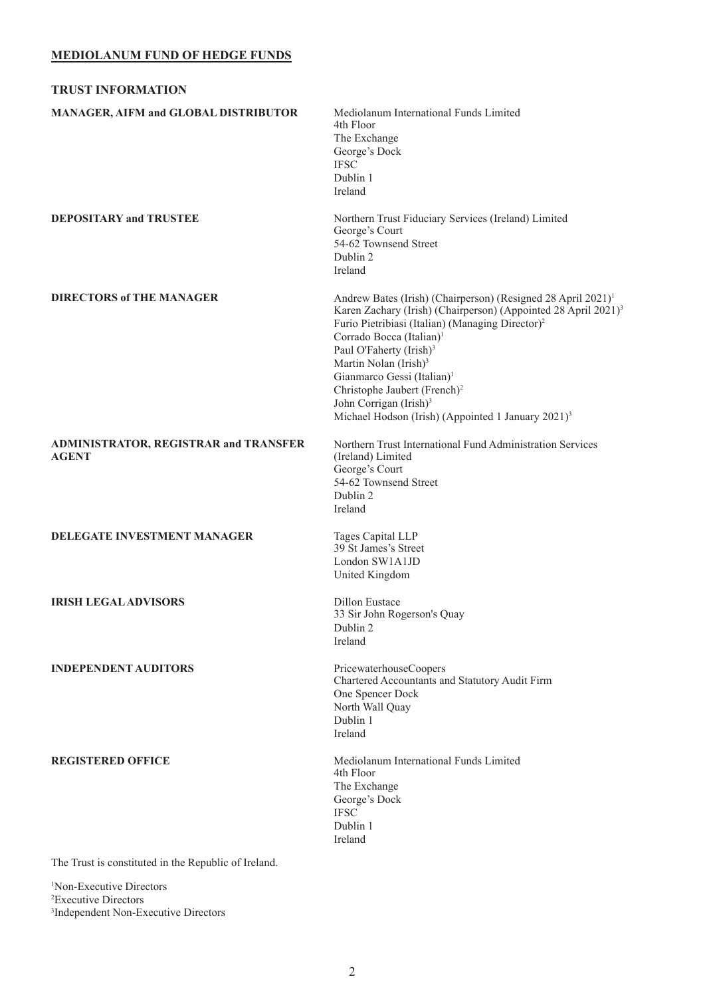<span id="page-2-0"></span>

| <b>TRUST INFORMATION</b>                                     |                                                                                                                                                                                                                                                                                                                                                                                                                                                                                                                                          |
|--------------------------------------------------------------|------------------------------------------------------------------------------------------------------------------------------------------------------------------------------------------------------------------------------------------------------------------------------------------------------------------------------------------------------------------------------------------------------------------------------------------------------------------------------------------------------------------------------------------|
| MANAGER, AIFM and GLOBAL DISTRIBUTOR                         | Mediolanum International Funds Limited<br>4th Floor<br>The Exchange<br>George's Dock<br>$\operatorname{IFSC}$<br>Dublin 1<br>Ireland                                                                                                                                                                                                                                                                                                                                                                                                     |
| <b>DEPOSITARY and TRUSTEE</b>                                | Northern Trust Fiduciary Services (Ireland) Limited<br>George's Court<br>54-62 Townsend Street<br>Dublin 2<br>Ireland                                                                                                                                                                                                                                                                                                                                                                                                                    |
| <b>DIRECTORS of THE MANAGER</b>                              | Andrew Bates (Irish) (Chairperson) (Resigned 28 April 2021) <sup>1</sup><br>Karen Zachary (Irish) (Chairperson) (Appointed 28 April 2021) <sup>3</sup><br>Furio Pietribiasi (Italian) (Managing Director) <sup>2</sup><br>Corrado Bocca (Italian) <sup>1</sup><br>Paul O'Faherty (Irish) <sup>3</sup><br>Martin Nolan (Irish) <sup>3</sup><br>Gianmarco Gessi (Italian) <sup>1</sup><br>Christophe Jaubert (French) <sup>2</sup><br>John Corrigan (Irish) <sup>3</sup><br>Michael Hodson (Irish) (Appointed 1 January 2021) <sup>3</sup> |
| <b>ADMINISTRATOR, REGISTRAR and TRANSFER</b><br><b>AGENT</b> | Northern Trust International Fund Administration Services<br>(Ireland) Limited<br>George's Court<br>54-62 Townsend Street<br>Dublin 2<br>Ireland                                                                                                                                                                                                                                                                                                                                                                                         |
| DELEGATE INVESTMENT MANAGER                                  | Tages Capital LLP<br>39 St James's Street<br>London SW1A1JD<br>United Kingdom                                                                                                                                                                                                                                                                                                                                                                                                                                                            |
| <b>IRISH LEGAL ADVISORS</b>                                  | <b>Dillon</b> Eustace<br>33 Sir John Rogerson's Quay<br>Dublin 2<br>Ireland                                                                                                                                                                                                                                                                                                                                                                                                                                                              |
| <b>INDEPENDENT AUDITORS</b>                                  | PricewaterhouseCoopers<br>Chartered Accountants and Statutory Audit Firm<br>One Spencer Dock<br>North Wall Quay<br>Dublin 1<br>Ireland                                                                                                                                                                                                                                                                                                                                                                                                   |
| <b>REGISTERED OFFICE</b>                                     | Mediolanum International Funds Limited<br>4th Floor<br>The Exchange<br>George's Dock<br><b>IFSC</b><br>Dublin 1<br>Ireland                                                                                                                                                                                                                                                                                                                                                                                                               |
| The Trust is constituted in the Republic of Ireland.         |                                                                                                                                                                                                                                                                                                                                                                                                                                                                                                                                          |

1 Non-Executive Directors 2 Executive Directors 3 Independent Non-Executive Directors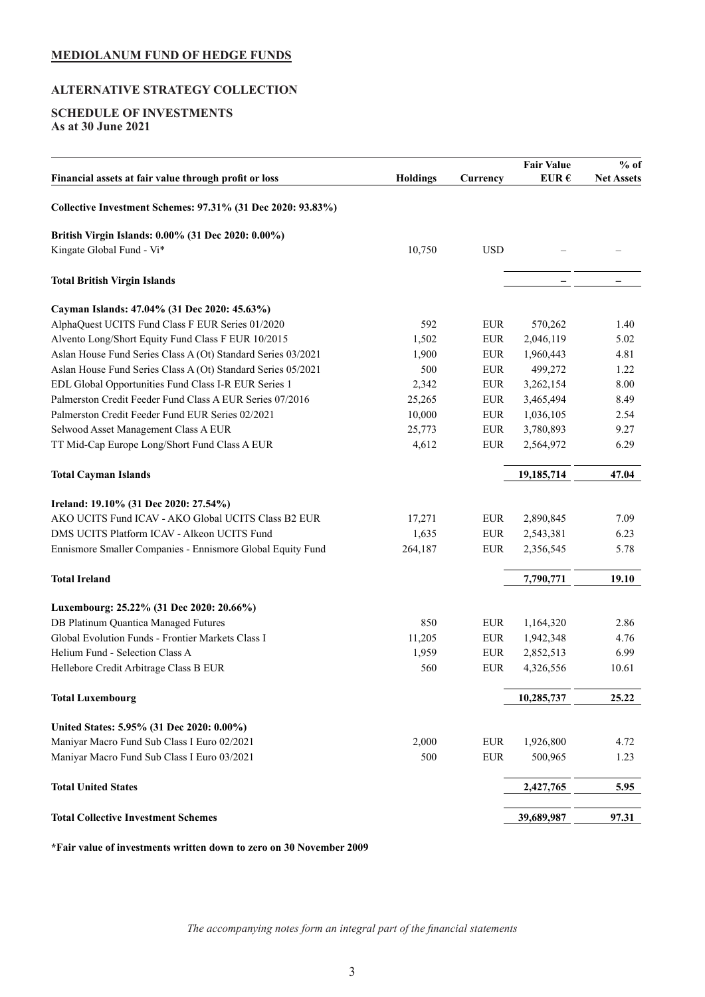# <span id="page-3-0"></span>**ALTERNATIVE STRATEGY COLLECTION**

## **SCHEDULE OF INVESTMENTS As at 30 June 2021**

|                                                              |                 |             | <b>Fair Value</b> | $%$ of            |
|--------------------------------------------------------------|-----------------|-------------|-------------------|-------------------|
| Financial assets at fair value through profit or loss        | <b>Holdings</b> | Currency    | EUR $\epsilon$    | <b>Net Assets</b> |
| Collective Investment Schemes: 97.31% (31 Dec 2020: 93.83%)  |                 |             |                   |                   |
| British Virgin Islands: 0.00% (31 Dec 2020: 0.00%)           |                 |             |                   |                   |
| Kingate Global Fund - Vi*                                    | 10,750          | <b>USD</b>  |                   |                   |
| <b>Total British Virgin Islands</b>                          |                 |             |                   |                   |
| Cayman Islands: 47.04% (31 Dec 2020: 45.63%)                 |                 |             |                   |                   |
| AlphaQuest UCITS Fund Class F EUR Series 01/2020             | 592             | <b>EUR</b>  | 570,262           | 1.40              |
| Alvento Long/Short Equity Fund Class F EUR 10/2015           | 1,502           | ${\rm EUR}$ | 2,046,119         | 5.02              |
| Aslan House Fund Series Class A (Ot) Standard Series 03/2021 | 1,900           | <b>EUR</b>  | 1,960,443         | 4.81              |
| Aslan House Fund Series Class A (Ot) Standard Series 05/2021 | 500             | ${\rm EUR}$ | 499,272           | 1.22              |
| EDL Global Opportunities Fund Class I-R EUR Series 1         | 2,342           | <b>EUR</b>  | 3,262,154         | 8.00              |
| Palmerston Credit Feeder Fund Class A EUR Series 07/2016     | 25,265          | <b>EUR</b>  | 3,465,494         | 8.49              |
| Palmerston Credit Feeder Fund EUR Series 02/2021             | 10,000          | ${\rm EUR}$ | 1,036,105         | 2.54              |
| Selwood Asset Management Class A EUR                         | 25,773          | <b>EUR</b>  | 3,780,893         | 9.27              |
| TT Mid-Cap Europe Long/Short Fund Class A EUR                | 4,612           | ${\rm EUR}$ | 2,564,972         | 6.29              |
| <b>Total Cayman Islands</b>                                  |                 |             | 19,185,714        | 47.04             |
| Ireland: 19.10% (31 Dec 2020: 27.54%)                        |                 |             |                   |                   |
| AKO UCITS Fund ICAV - AKO Global UCITS Class B2 EUR          | 17,271          | <b>EUR</b>  | 2,890,845         | 7.09              |
| DMS UCITS Platform ICAV - Alkeon UCITS Fund                  | 1,635           | <b>EUR</b>  | 2,543,381         | 6.23              |
| Ennismore Smaller Companies - Ennismore Global Equity Fund   | 264,187         | <b>EUR</b>  | 2,356,545         | 5.78              |
| <b>Total Ireland</b>                                         |                 |             | 7,790,771         | 19.10             |
| Luxembourg: 25.22% (31 Dec 2020: 20.66%)                     |                 |             |                   |                   |
| DB Platinum Quantica Managed Futures                         | 850             | <b>EUR</b>  | 1,164,320         | 2.86              |
| Global Evolution Funds - Frontier Markets Class I            | 11,205          | <b>EUR</b>  | 1,942,348         | 4.76              |
| Helium Fund - Selection Class A                              | 1,959           | <b>EUR</b>  | 2,852,513         | 6.99              |
| Hellebore Credit Arbitrage Class B EUR                       | 560             | ${\rm EUR}$ | 4,326,556         | 10.61             |
| <b>Total Luxembourg</b>                                      |                 |             | 10,285,737        | 25.22             |
| United States: 5.95% (31 Dec 2020: 0.00%)                    |                 |             |                   |                   |
| Maniyar Macro Fund Sub Class I Euro 02/2021                  | 2,000           | <b>EUR</b>  | 1,926,800         | 4.72              |
| Maniyar Macro Fund Sub Class I Euro 03/2021                  | 500             | <b>EUR</b>  | 500,965           | 1.23              |
| <b>Total United States</b>                                   |                 |             | 2,427,765         | 5.95              |
| <b>Total Collective Investment Schemes</b>                   |                 |             | 39,689,987        | 97.31             |

**\*Fair value of investments written down to zero on 30 November 2009**

*The accompanying notes form an integral part of the financial statements*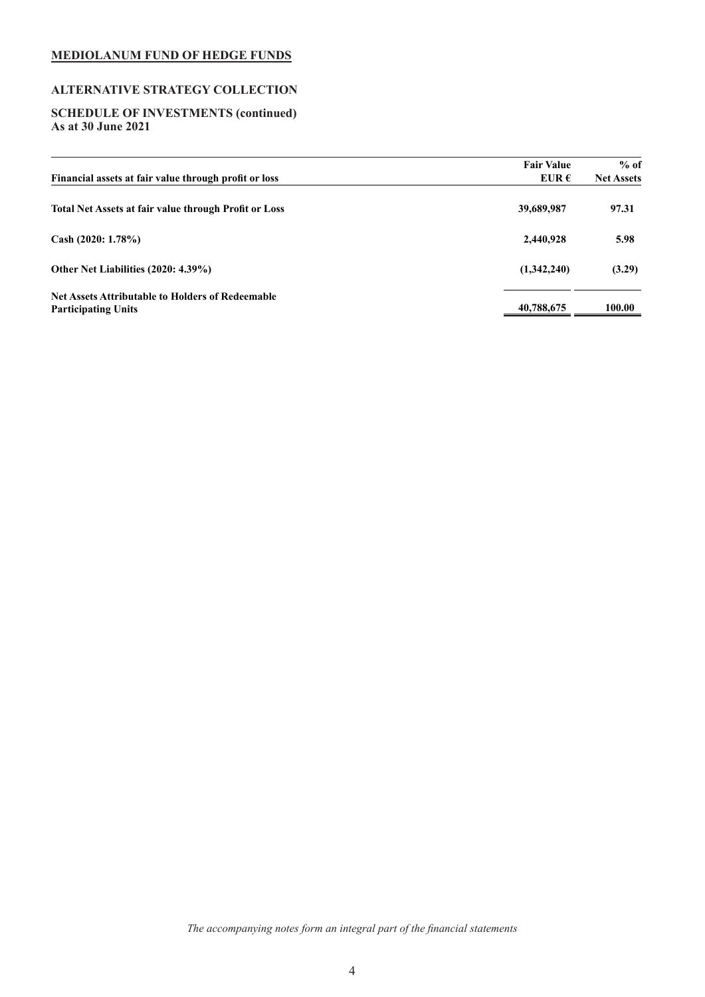# **ALTERNATIVE STRATEGY COLLECTION**

### **SCHEDULE OF INVESTMENTS (continued) As at 30 June 2021**

| Financial assets at fair value through profit or loss                                 | <b>Fair Value</b><br>EUR $\epsilon$ | $%$ of<br><b>Net Assets</b> |
|---------------------------------------------------------------------------------------|-------------------------------------|-----------------------------|
| <b>Total Net Assets at fair value through Profit or Loss</b>                          | 39,689,987                          | 97.31                       |
| Cash $(2020: 1.78\%)$                                                                 | 2,440,928                           | 5.98                        |
| Other Net Liabilities (2020: 4.39%)                                                   | (1,342,240)                         | (3.29)                      |
| <b>Net Assets Attributable to Holders of Redeemable</b><br><b>Participating Units</b> | 40,788,675                          | 100.00                      |

*The accompanying notes form an integral part of the financial statements*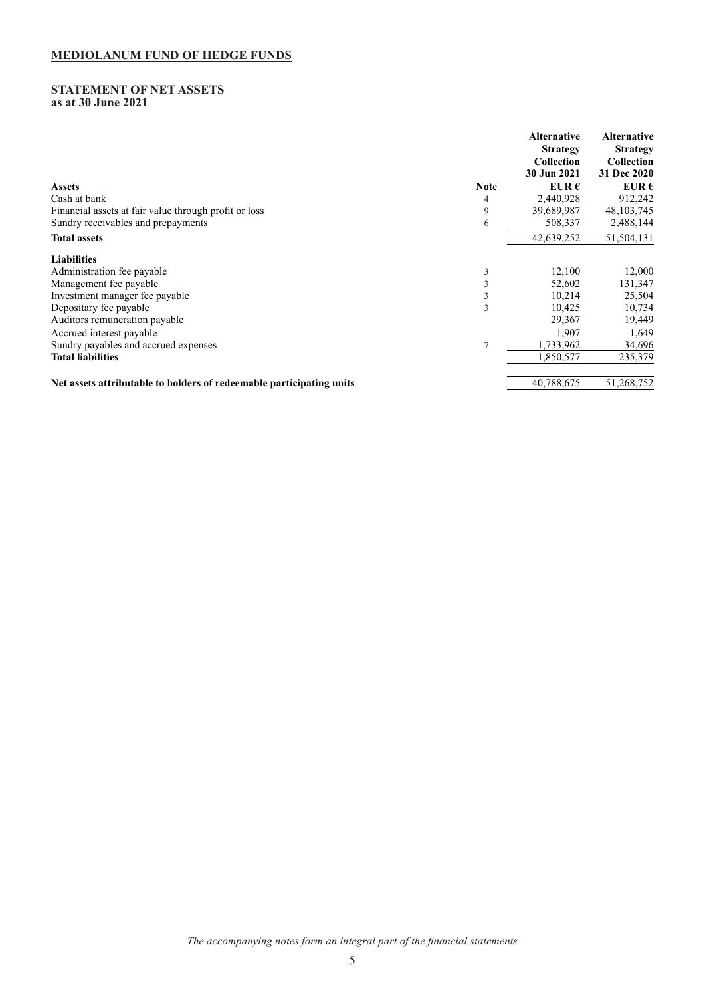### <span id="page-5-0"></span>**STATEMENT OF NET ASSETS as at 30 June 2021**

|                                                                      |                | Alternative<br><b>Strategy</b><br>Collection<br>30 Jun 2021 | <b>Alternative</b><br><b>Strategy</b><br><b>Collection</b><br>31 Dec 2020 |
|----------------------------------------------------------------------|----------------|-------------------------------------------------------------|---------------------------------------------------------------------------|
| <b>Assets</b>                                                        | <b>Note</b>    | EUR $\epsilon$                                              | EUR $\epsilon$                                                            |
| Cash at bank                                                         | 4              | 2,440,928                                                   | 912,242                                                                   |
| Financial assets at fair value through profit or loss                | 9              | 39,689,987                                                  | 48, 103, 745                                                              |
| Sundry receivables and prepayments                                   | 6              | 508,337                                                     | 2,488,144                                                                 |
| <b>Total assets</b>                                                  |                | 42,639,252                                                  | 51,504,131                                                                |
| <b>Liabilities</b>                                                   |                |                                                             |                                                                           |
| Administration fee payable                                           | 3              | 12,100                                                      | 12,000                                                                    |
| Management fee payable                                               |                | 52,602                                                      | 131,347                                                                   |
| Investment manager fee payable                                       | 3              | 10,214                                                      | 25,504                                                                    |
| Depositary fee payable                                               | 3              | 10.425                                                      | 10,734                                                                    |
| Auditors remuneration payable                                        |                | 29,367                                                      | 19,449                                                                    |
| Accrued interest payable                                             |                | 1,907                                                       | 1,649                                                                     |
| Sundry payables and accrued expenses                                 | $\overline{7}$ | 1,733,962                                                   | 34,696                                                                    |
| <b>Total liabilities</b>                                             |                | 1,850,577                                                   | 235,379                                                                   |
| Net assets attributable to holders of redeemable participating units |                | 40,788,675                                                  | 51,268,752                                                                |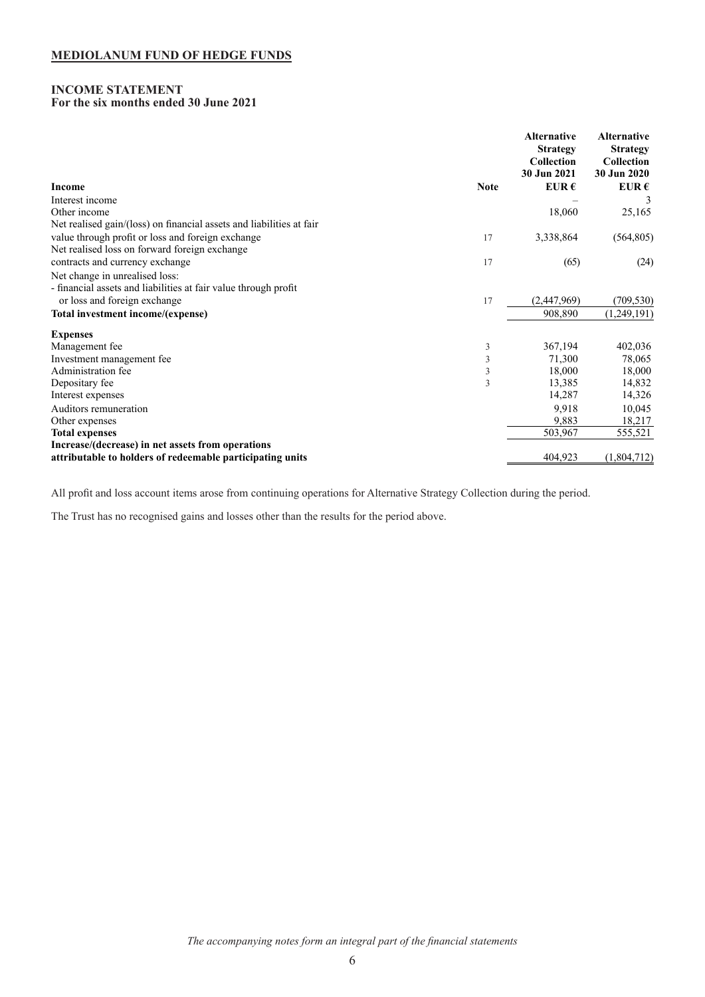#### <span id="page-6-0"></span>**INCOME STATEMENT For the six months ended 30 June 2021**

|                                                                      | <b>Alternative</b><br><b>Strategy</b><br><b>Collection</b><br>30 Jun 2021 | <b>Alternative</b><br><b>Strategy</b><br>Collection<br>30 Jun 2020 |
|----------------------------------------------------------------------|---------------------------------------------------------------------------|--------------------------------------------------------------------|
| <b>Income</b><br><b>Note</b>                                         | EUR $\epsilon$                                                            | EUR $\epsilon$                                                     |
| Interest income                                                      |                                                                           |                                                                    |
| Other income                                                         | 18,060                                                                    | 25,165                                                             |
| Net realised gain/(loss) on financial assets and liabilities at fair |                                                                           |                                                                    |
| value through profit or loss and foreign exchange<br>17              | 3,338,864                                                                 | (564, 805)                                                         |
| Net realised loss on forward foreign exchange                        |                                                                           |                                                                    |
| contracts and currency exchange<br>17                                | (65)                                                                      | (24)                                                               |
| Net change in unrealised loss:                                       |                                                                           |                                                                    |
| - financial assets and liabilities at fair value through profit      |                                                                           |                                                                    |
| or loss and foreign exchange<br>17                                   | (2,447,969)                                                               | (709, 530)                                                         |
| Total investment income/(expense)                                    | 908,890                                                                   | (1,249,191)                                                        |
| <b>Expenses</b>                                                      |                                                                           |                                                                    |
| Management fee<br>3                                                  | 367,194                                                                   | 402,036                                                            |
| 3<br>Investment management fee                                       | 71,300                                                                    | 78,065                                                             |
| 3<br>Administration fee                                              | 18,000                                                                    | 18,000                                                             |
| Depositary fee<br>3                                                  | 13,385                                                                    | 14,832                                                             |
| Interest expenses                                                    | 14,287                                                                    | 14,326                                                             |
| Auditors remuneration                                                | 9.918                                                                     | 10,045                                                             |
| Other expenses                                                       | 9,883                                                                     | 18,217                                                             |
| <b>Total expenses</b>                                                | 503,967                                                                   | 555,521                                                            |
| Increase/(decrease) in net assets from operations                    |                                                                           |                                                                    |
| attributable to holders of redeemable participating units            | 404,923                                                                   | (1,804,712)                                                        |

All profit and loss account items arose from continuing operations for Alternative Strategy Collection during the period.

The Trust has no recognised gains and losses other than the results for the period above.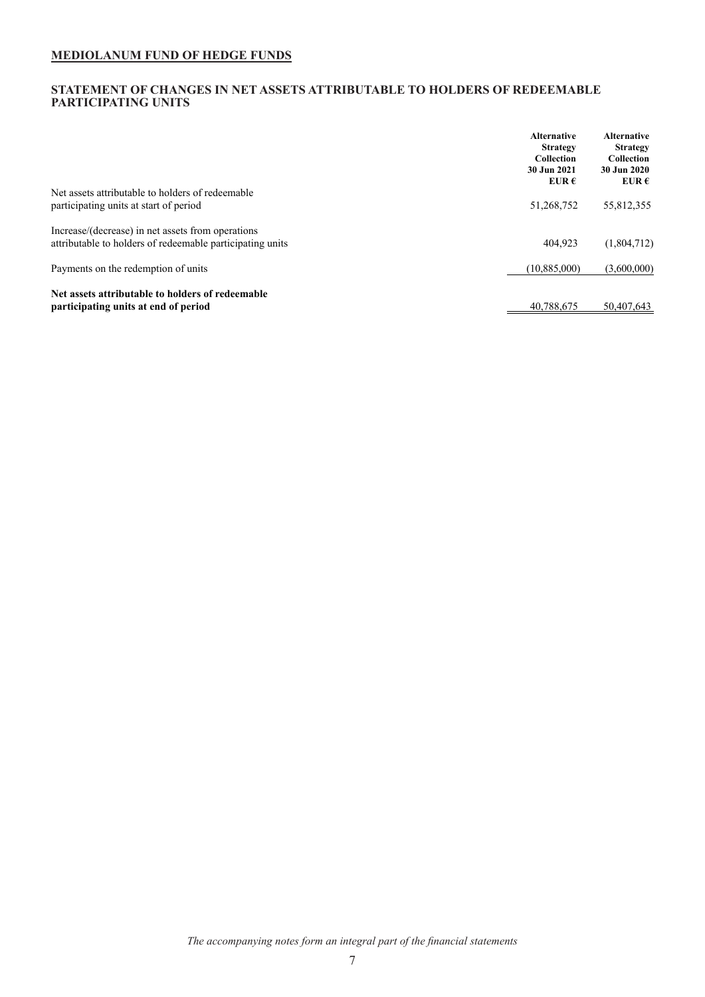## <span id="page-7-0"></span>**STATEMENT OF CHANGES IN NET ASSETS ATTRIBUTABLE TO HOLDERS OF REDEEMABLE PARTICIPATING UNITS**

|                                                                                                                | <b>Alternative</b><br><b>Strategy</b><br><b>Collection</b><br>30 Jun 2021<br>EUR $\epsilon$ | <b>Alternative</b><br><b>Strategy</b><br>Collection<br>30 Jun 2020<br>EUR $\epsilon$ |
|----------------------------------------------------------------------------------------------------------------|---------------------------------------------------------------------------------------------|--------------------------------------------------------------------------------------|
| Net assets attributable to holders of redeemable<br>participating units at start of period                     | 51,268,752                                                                                  | 55,812,355                                                                           |
| Increase/(decrease) in net assets from operations<br>attributable to holders of redeemable participating units | 404.923                                                                                     | (1,804,712)                                                                          |
| Payments on the redemption of units                                                                            | (10,885,000)                                                                                | (3,600,000)                                                                          |
| Net assets attributable to holders of redeemable<br>participating units at end of period                       | 40.788.675                                                                                  | 50.407.643                                                                           |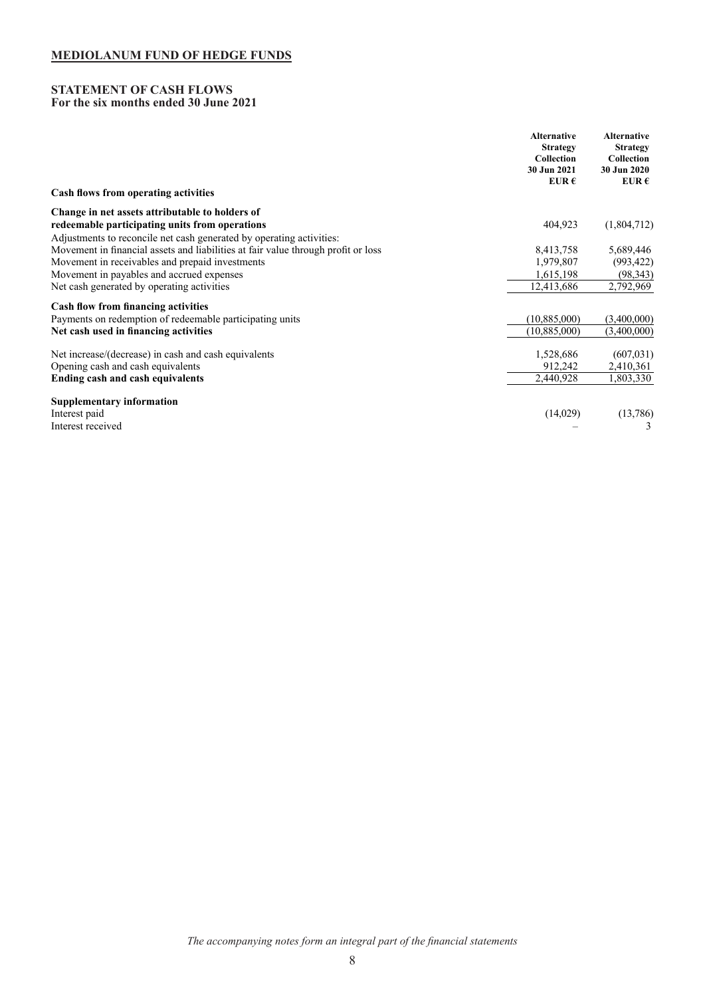## <span id="page-8-0"></span>**STATEMENT OF CASH FLOWS For the six months ended 30 June 2021**

|                                                                                   | <b>Alternative</b><br><b>Strategy</b><br>Collection<br>30 Jun 2021<br>EUR $\epsilon$ | <b>Alternative</b><br><b>Strategy</b><br>Collection<br>30 Jun 2020<br>EUR $\epsilon$ |
|-----------------------------------------------------------------------------------|--------------------------------------------------------------------------------------|--------------------------------------------------------------------------------------|
| Cash flows from operating activities                                              |                                                                                      |                                                                                      |
| Change in net assets attributable to holders of                                   |                                                                                      |                                                                                      |
| redeemable participating units from operations                                    | 404,923                                                                              | (1,804,712)                                                                          |
| Adjustments to reconcile net cash generated by operating activities:              |                                                                                      |                                                                                      |
| Movement in financial assets and liabilities at fair value through profit or loss | 8,413,758                                                                            | 5,689,446                                                                            |
| Movement in receivables and prepaid investments                                   | 1,979,807                                                                            | (993, 422)                                                                           |
| Movement in payables and accrued expenses                                         | 1,615,198                                                                            | (98, 343)                                                                            |
| Net cash generated by operating activities                                        | 12,413,686                                                                           | 2,792,969                                                                            |
| <b>Cash flow from financing activities</b>                                        |                                                                                      |                                                                                      |
| Payments on redemption of redeemable participating units                          | (10,885,000)                                                                         | (3,400,000)                                                                          |
| Net cash used in financing activities                                             | (10,885,000)                                                                         | (3,400,000)                                                                          |
| Net increase/(decrease) in cash and cash equivalents                              | 1,528,686                                                                            | (607, 031)                                                                           |
| Opening cash and cash equivalents                                                 | 912,242                                                                              | 2,410,361                                                                            |
| <b>Ending cash and cash equivalents</b>                                           | 2,440,928                                                                            | 1,803,330                                                                            |
| <b>Supplementary information</b>                                                  |                                                                                      |                                                                                      |
| Interest paid                                                                     | (14,029)                                                                             | (13,786)                                                                             |
| Interest received                                                                 |                                                                                      |                                                                                      |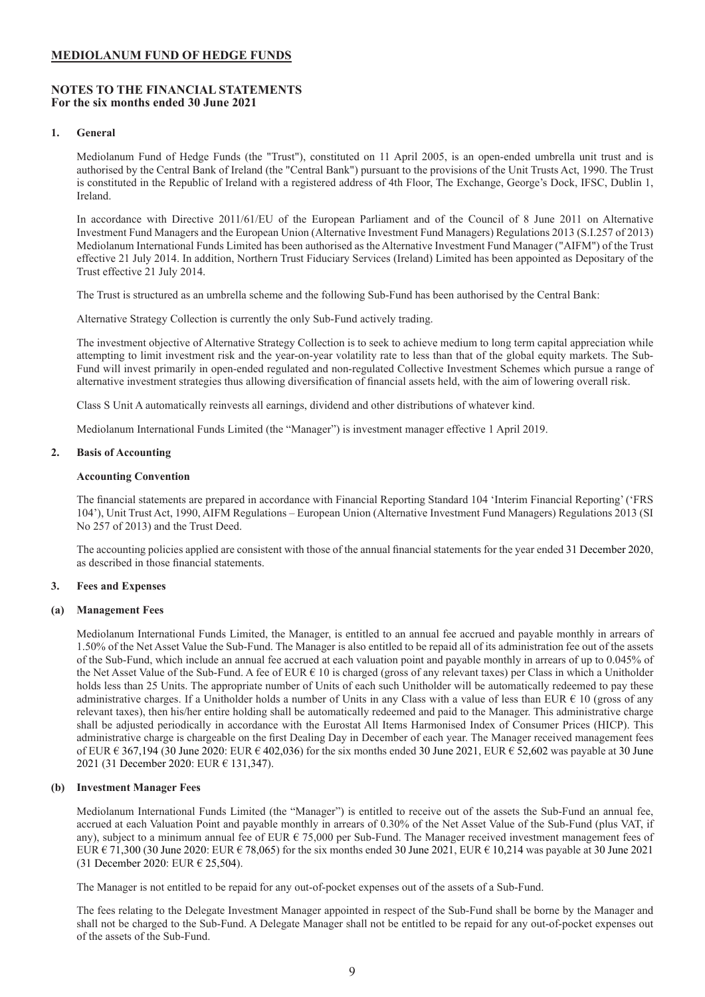## <span id="page-9-0"></span>**NOTES TO THE FINANCIAL STATEMENTS For the six months ended 30 June 2021**

## **1. General**

Mediolanum Fund of Hedge Funds (the "Trust"), constituted on 11 April 2005, is an open-ended umbrella unit trust and is authorised by the Central Bank of Ireland (the "Central Bank") pursuant to the provisions of the Unit Trusts Act, 1990. The Trust is constituted in the Republic of Ireland with a registered address of 4th Floor, The Exchange, George's Dock, IFSC, Dublin 1, Ireland.

In accordance with Directive 2011/61/EU of the European Parliament and of the Council of 8 June 2011 on Alternative Investment Fund Managers and the European Union (Alternative Investment Fund Managers) Regulations 2013 (S.I.257 of 2013) Mediolanum International Funds Limited has been authorised as the Alternative Investment Fund Manager ("AIFM") of the Trust effective 21 July 2014. In addition, Northern Trust Fiduciary Services (Ireland) Limited has been appointed as Depositary of the Trust effective 21 July 2014.

The Trust is structured as an umbrella scheme and the following Sub-Fund has been authorised by the Central Bank:

Alternative Strategy Collection is currently the only Sub-Fund actively trading.

The investment objective of Alternative Strategy Collection is to seek to achieve medium to long term capital appreciation while attempting to limit investment risk and the year-on-year volatility rate to less than that of the global equity markets. The Sub-Fund will invest primarily in open-ended regulated and non-regulated Collective Investment Schemes which pursue a range of alternative investment strategies thus allowing diversification of financial assets held, with the aim of lowering overall risk.

Class S Unit A automatically reinvests all earnings, dividend and other distributions of whatever kind.

Mediolanum International Funds Limited (the "Manager") is investment manager effective 1 April 2019.

## **2. Basis of Accounting**

#### **Accounting Convention**

The financial statements are prepared in accordance with Financial Reporting Standard 104 'Interim Financial Reporting' ('FRS 104'), Unit Trust Act, 1990, AIFM Regulations – European Union (Alternative Investment Fund Managers) Regulations 2013 (SI No 257 of 2013) and the Trust Deed.

The accounting policies applied are consistent with those of the annual financial statements for the year ended 31 December 2020, as described in those financial statements.

#### **3. Fees and Expenses**

#### **(a) Management Fees**

Mediolanum International Funds Limited, the Manager, is entitled to an annual fee accrued and payable monthly in arrears of 1.50% of the Net Asset Value the Sub-Fund. The Manager is also entitled to be repaid all of its administration fee out of the assets of the Sub-Fund, which include an annual fee accrued at each valuation point and payable monthly in arrears of up to 0.045% of the Net Asset Value of the Sub-Fund. A fee of EUR € 10 is charged (gross of any relevant taxes) per Class in which a Unitholder holds less than 25 Units. The appropriate number of Units of each such Unitholder will be automatically redeemed to pay these administrative charges. If a Unitholder holds a number of Units in any Class with a value of less than EUR  $\epsilon$  10 (gross of any relevant taxes), then his/her entire holding shall be automatically redeemed and paid to the Manager. This administrative charge shall be adjusted periodically in accordance with the Eurostat All Items Harmonised Index of Consumer Prices (HICP). This administrative charge is chargeable on the first Dealing Day in December of each year. The Manager received management fees of EUR  $\epsilon$  367,194 (30 June 2020: EUR  $\epsilon$  402,036) for the six months ended 30 June 2021, EUR  $\epsilon$  52,602 was payable at 30 June 2021 (31 December 2020: EUR € 131,347).

## **(b) Investment Manager Fees**

Mediolanum International Funds Limited (the "Manager") is entitled to receive out of the assets the Sub-Fund an annual fee, accrued at each Valuation Point and payable monthly in arrears of 0.30% of the Net Asset Value of the Sub-Fund (plus VAT, if any), subject to a minimum annual fee of EUR  $\epsilon$  75,000 per Sub-Fund. The Manager received investment management fees of EUR  $\epsilon$  71,300 (30 June 2020: EUR  $\epsilon$  78,065) for the six months ended 30 June 2021, EUR  $\epsilon$  10,214 was payable at 30 June 2021 (31 December 2020: EUR € 25,504).

The Manager is not entitled to be repaid for any out-of-pocket expenses out of the assets of a Sub-Fund.

The fees relating to the Delegate Investment Manager appointed in respect of the Sub-Fund shall be borne by the Manager and shall not be charged to the Sub-Fund. A Delegate Manager shall not be entitled to be repaid for any out-of-pocket expenses out of the assets of the Sub-Fund.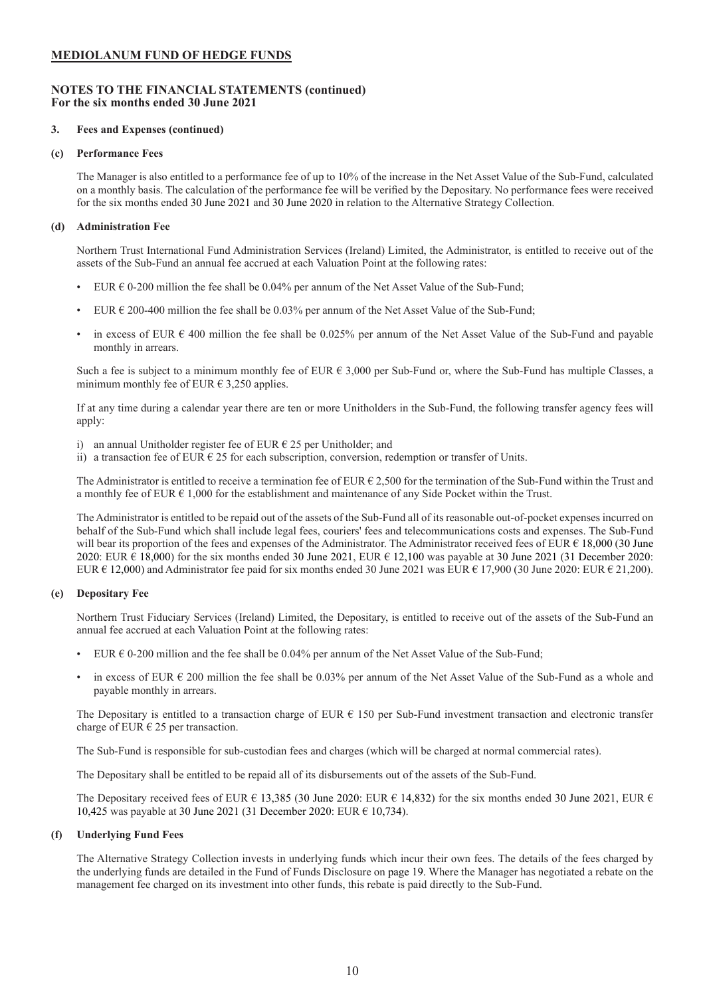## **NOTES TO THE FINANCIAL STATEMENTS (continued) For the six months ended 30 June 2021**

### **3. Fees and Expenses (continued)**

#### **(c) Performance Fees**

The Manager is also entitled to a performance fee of up to 10% of the increase in the Net Asset Value of the Sub-Fund, calculated on a monthly basis. The calculation of the performance fee will be verified by the Depositary. No performance fees were received for the six months ended 30 June 2021 and 30 June 2020 in relation to the Alternative Strategy Collection.

## **(d) Administration Fee**

Northern Trust International Fund Administration Services (Ireland) Limited, the Administrator, is entitled to receive out of the assets of the Sub-Fund an annual fee accrued at each Valuation Point at the following rates:

- EUR  $\epsilon$  0-200 million the fee shall be 0.04% per annum of the Net Asset Value of the Sub-Fund;
- EUR  $\epsilon$  200-400 million the fee shall be 0.03% per annum of the Net Asset Value of the Sub-Fund:
- in excess of EUR  $\epsilon$  400 million the fee shall be 0.025% per annum of the Net Asset Value of the Sub-Fund and payable monthly in arrears.

Such a fee is subject to a minimum monthly fee of EUR  $\epsilon$  3,000 per Sub-Fund or, where the Sub-Fund has multiple Classes, a minimum monthly fee of EUR  $\epsilon$  3,250 applies.

If at any time during a calendar year there are ten or more Unitholders in the Sub-Fund, the following transfer agency fees will apply:

- i) an annual Unitholder register fee of EUR  $\epsilon$  25 per Unitholder; and
- ii) a transaction fee of EUR  $\epsilon$  25 for each subscription, conversion, redemption or transfer of Units.

The Administrator is entitled to receive a termination fee of EUR  $\epsilon$  2,500 for the termination of the Sub-Fund within the Trust and a monthly fee of EUR  $\epsilon$  1,000 for the establishment and maintenance of any Side Pocket within the Trust.

The Administrator is entitled to be repaid out of the assets of the Sub-Fund all of its reasonable out-of-pocket expenses incurred on behalf of the Sub-Fund which shall include legal fees, couriers' fees and telecommunications costs and expenses. The Sub-Fund will bear its proportion of the fees and expenses of the Administrator. The Administrator received fees of EUR  $\epsilon$  18,000 (30 June 2020: EUR € 18,000) for the six months ended 30 June 2021, EUR € 12,100 was payable at 30 June 2021 (31 December 2020: EUR  $\epsilon$  12,000) and Administrator fee paid for six months ended 30 June 2021 was EUR  $\epsilon$  17,900 (30 June 2020: EUR  $\epsilon$  21,200).

## **(e) Depositary Fee**

Northern Trust Fiduciary Services (Ireland) Limited, the Depositary, is entitled to receive out of the assets of the Sub-Fund an annual fee accrued at each Valuation Point at the following rates:

- EUR  $\epsilon$  0-200 million and the fee shall be 0.04% per annum of the Net Asset Value of the Sub-Fund;
- in excess of EUR  $\epsilon$  200 million the fee shall be 0.03% per annum of the Net Asset Value of the Sub-Fund as a whole and payable monthly in arrears.

The Depositary is entitled to a transaction charge of EUR  $\epsilon$  150 per Sub-Fund investment transaction and electronic transfer charge of EUR  $\epsilon$  25 per transaction.

The Sub-Fund is responsible for sub-custodian fees and charges (which will be charged at normal commercial rates).

The Depositary shall be entitled to be repaid all of its disbursements out of the assets of the Sub-Fund.

The Depositary received fees of EUR  $\epsilon$  13,385 (30 June 2020: EUR  $\epsilon$  14,832) for the six months ended 30 June 2021, EUR  $\epsilon$ 10,425 was payable at 30 June 2021 (31 December 2020: EUR € 10,734).

## **(f) Underlying Fund Fees**

The Alternative Strategy Collection invests in underlying funds which incur their own fees. The details of the fees charged by the underlying funds are detailed in the Fund of Funds Disclosure on page 19. Where the Manager has negotiated a rebate on the management fee charged on its investment into other funds, this rebate is paid directly to the Sub-Fund.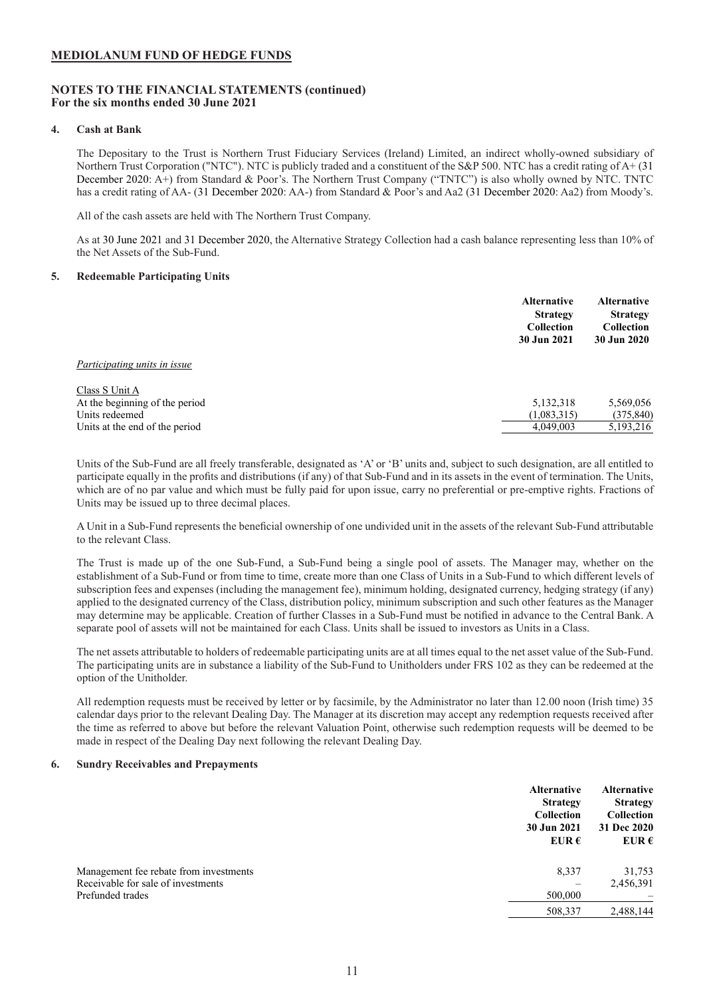## **NOTES TO THE FINANCIAL STATEMENTS (continued) For the six months ended 30 June 2021**

### **4. Cash at Bank**

The Depositary to the Trust is Northern Trust Fiduciary Services (Ireland) Limited, an indirect wholly-owned subsidiary of Northern Trust Corporation ("NTC"). NTC is publicly traded and a constituent of the S&P 500. NTC has a credit rating of A+ (31 December 2020: A+) from Standard & Poor's. The Northern Trust Company ("TNTC") is also wholly owned by NTC. TNTC has a credit rating of AA- (31 December 2020: AA-) from Standard & Poor's and Aa2 (31 December 2020: Aa2) from Moody's.

All of the cash assets are held with The Northern Trust Company.

As at 30 June 2021 and 31 December 2020, the Alternative Strategy Collection had a cash balance representing less than 10% of the Net Assets of the Sub-Fund.

#### **5. Redeemable Participating Units**

|                                                                                                      | <b>Alternative</b><br><b>Strategy</b><br>Collection<br>30 Jun 2021 | <b>Alternative</b><br><b>Strategy</b><br><b>Collection</b><br>30 Jun 2020 |
|------------------------------------------------------------------------------------------------------|--------------------------------------------------------------------|---------------------------------------------------------------------------|
| Participating units in issue                                                                         |                                                                    |                                                                           |
| Class S Unit A<br>At the beginning of the period<br>Units redeemed<br>Units at the end of the period | 5,132,318<br>(1,083,315)<br>4,049,003                              | 5,569,056<br>(375, 840)<br>5,193,216                                      |

Units of the Sub-Fund are all freely transferable, designated as 'A' or 'B' units and, subject to such designation, are all entitled to participate equally in the profits and distributions (if any) of that Sub-Fund and in its assets in the event of termination. The Units, which are of no par value and which must be fully paid for upon issue, carry no preferential or pre-emptive rights. Fractions of Units may be issued up to three decimal places.

A Unit in a Sub-Fund represents the beneficial ownership of one undivided unit in the assets of the relevant Sub-Fund attributable to the relevant Class.

The Trust is made up of the one Sub-Fund, a Sub-Fund being a single pool of assets. The Manager may, whether on the establishment of a Sub-Fund or from time to time, create more than one Class of Units in a Sub-Fund to which different levels of subscription fees and expenses (including the management fee), minimum holding, designated currency, hedging strategy (if any) applied to the designated currency of the Class, distribution policy, minimum subscription and such other features as the Manager may determine may be applicable. Creation of further Classes in a Sub-Fund must be notified in advance to the Central Bank. A separate pool of assets will not be maintained for each Class. Units shall be issued to investors as Units in a Class.

The net assets attributable to holders of redeemable participating units are at all times equal to the net asset value of the Sub-Fund. The participating units are in substance a liability of the Sub-Fund to Unitholders under FRS 102 as they can be redeemed at the option of the Unitholder.

All redemption requests must be received by letter or by facsimile, by the Administrator no later than 12.00 noon (Irish time) 35 calendar days prior to the relevant Dealing Day. The Manager at its discretion may accept any redemption requests received after the time as referred to above but before the relevant Valuation Point, otherwise such redemption requests will be deemed to be made in respect of the Dealing Day next following the relevant Dealing Day.

#### **6. Sundry Receivables and Prepayments**

|                                        | <b>Alternative</b><br><b>Strategy</b><br>Collection<br>30 Jun 2021<br>EUR $\epsilon$ | <b>Alternative</b><br><b>Strategy</b><br><b>Collection</b><br>31 Dec 2020<br>EUR $\epsilon$ |
|----------------------------------------|--------------------------------------------------------------------------------------|---------------------------------------------------------------------------------------------|
| Management fee rebate from investments | 8,337                                                                                | 31,753                                                                                      |
| Receivable for sale of investments     |                                                                                      | 2,456,391                                                                                   |
| Prefunded trades                       | 500,000                                                                              |                                                                                             |
|                                        | 508,337                                                                              | 2,488,144                                                                                   |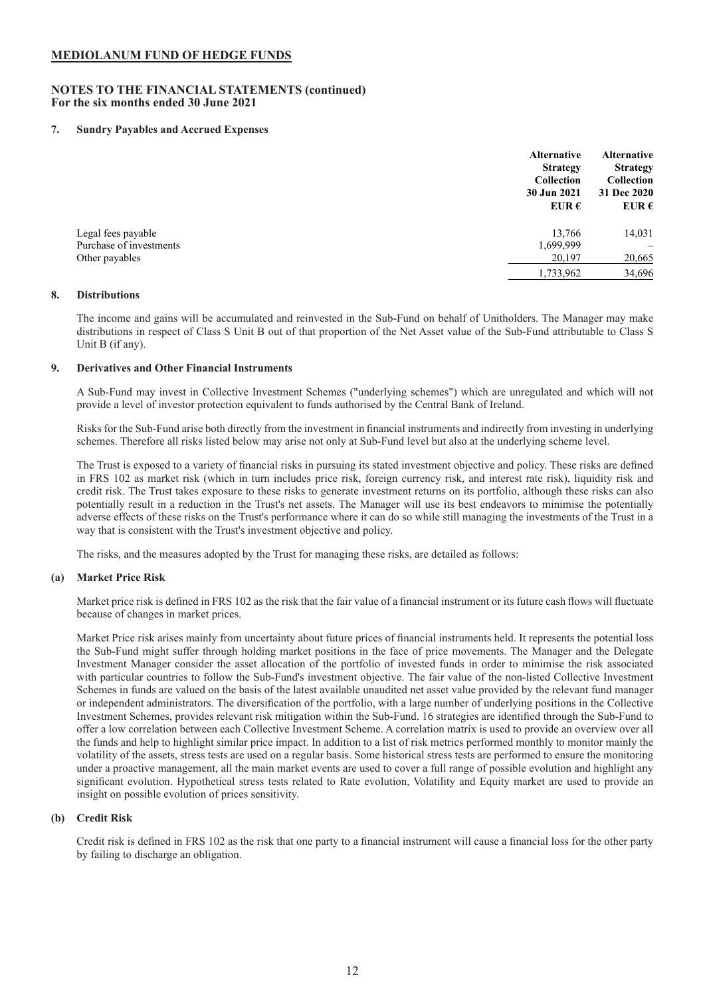## **NOTES TO THE FINANCIAL STATEMENTS (continued) For the six months ended 30 June 2021**

## **7. Sundry Payables and Accrued Expenses**

|                         | <b>Alternative</b><br><b>Strategy</b><br>Collection<br>30 Jun 2021<br>EUR $\epsilon$ | <b>Alternative</b><br><b>Strategy</b><br>Collection<br>31 Dec 2020<br>EUR $\epsilon$ |
|-------------------------|--------------------------------------------------------------------------------------|--------------------------------------------------------------------------------------|
| Legal fees payable      | 13,766                                                                               | 14,031                                                                               |
| Purchase of investments | 1,699,999                                                                            |                                                                                      |
| Other payables          | 20,197                                                                               | 20,665                                                                               |
|                         | 1,733,962                                                                            | 34,696                                                                               |

#### **8. Distributions**

The income and gains will be accumulated and reinvested in the Sub-Fund on behalf of Unitholders. The Manager may make distributions in respect of Class S Unit B out of that proportion of the Net Asset value of the Sub-Fund attributable to Class S Unit B (if any).

#### **9. Derivatives and Other Financial Instruments**

A Sub-Fund may invest in Collective Investment Schemes ("underlying schemes") which are unregulated and which will not provide a level of investor protection equivalent to funds authorised by the Central Bank of Ireland.

Risks for the Sub-Fund arise both directly from the investment in financial instruments and indirectly from investing in underlying schemes. Therefore all risks listed below may arise not only at Sub-Fund level but also at the underlying scheme level.

The Trust is exposed to a variety of financial risks in pursuing its stated investment objective and policy. These risks are defined in FRS 102 as market risk (which in turn includes price risk, foreign currency risk, and interest rate risk), liquidity risk and credit risk. The Trust takes exposure to these risks to generate investment returns on its portfolio, although these risks can also potentially result in a reduction in the Trust's net assets. The Manager will use its best endeavors to minimise the potentially adverse effects of these risks on the Trust's performance where it can do so while still managing the investments of the Trust in a way that is consistent with the Trust's investment objective and policy.

The risks, and the measures adopted by the Trust for managing these risks, are detailed as follows:

## **(a) Market Price Risk**

Market price risk is defined in FRS 102 as the risk that the fair value of a financial instrument or its future cash flows will fluctuate because of changes in market prices.

Market Price risk arises mainly from uncertainty about future prices of financial instruments held. It represents the potential loss the Sub-Fund might suffer through holding market positions in the face of price movements. The Manager and the Delegate Investment Manager consider the asset allocation of the portfolio of invested funds in order to minimise the risk associated with particular countries to follow the Sub-Fund's investment objective. The fair value of the non-listed Collective Investment Schemes in funds are valued on the basis of the latest available unaudited net asset value provided by the relevant fund manager or independent administrators. The diversification of the portfolio, with a large number of underlying positions in the Collective Investment Schemes, provides relevant risk mitigation within the Sub-Fund. 16 strategies are identified through the Sub-Fund to offer a low correlation between each Collective Investment Scheme. A correlation matrix is used to provide an overview over all the funds and help to highlight similar price impact. In addition to a list of risk metrics performed monthly to monitor mainly the volatility of the assets, stress tests are used on a regular basis. Some historical stress tests are performed to ensure the monitoring under a proactive management, all the main market events are used to cover a full range of possible evolution and highlight any significant evolution. Hypothetical stress tests related to Rate evolution, Volatility and Equity market are used to provide an insight on possible evolution of prices sensitivity.

## **(b) Credit Risk**

Credit risk is defined in FRS 102 as the risk that one party to a financial instrument will cause a financial loss for the other party by failing to discharge an obligation.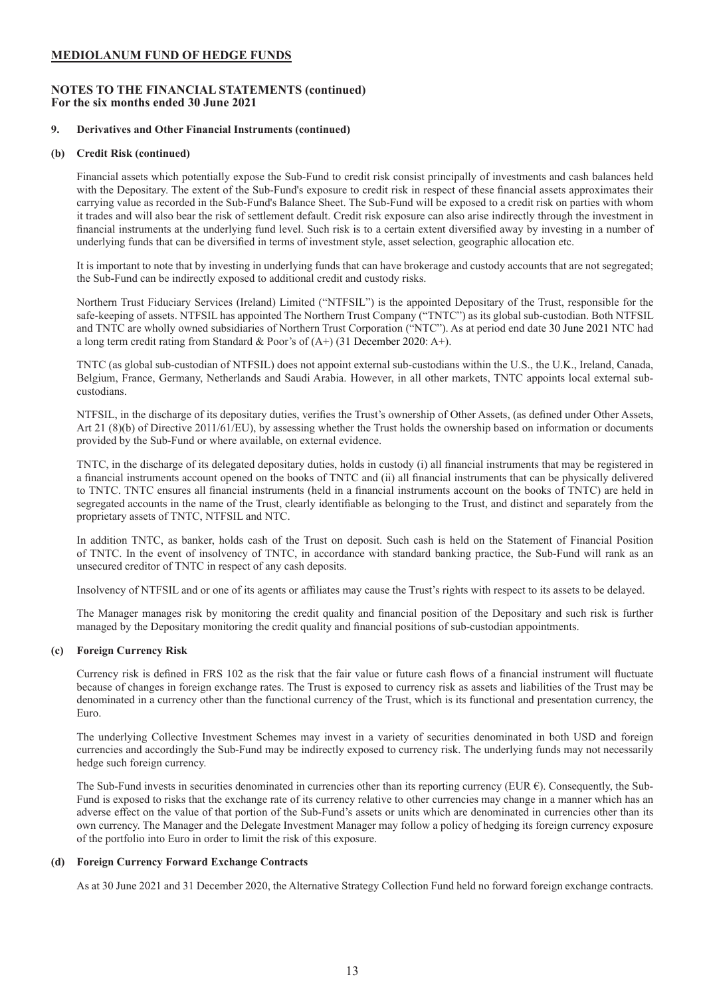## **NOTES TO THE FINANCIAL STATEMENTS (continued) For the six months ended 30 June 2021**

#### **9. Derivatives and Other Financial Instruments (continued)**

#### **(b) Credit Risk (continued)**

Financial assets which potentially expose the Sub-Fund to credit risk consist principally of investments and cash balances held with the Depositary. The extent of the Sub-Fund's exposure to credit risk in respect of these financial assets approximates their carrying value as recorded in the Sub-Fund's Balance Sheet. The Sub-Fund will be exposed to a credit risk on parties with whom it trades and will also bear the risk of settlement default. Credit risk exposure can also arise indirectly through the investment in financial instruments at the underlying fund level. Such risk is to a certain extent diversified away by investing in a number of underlying funds that can be diversified in terms of investment style, asset selection, geographic allocation etc.

It is important to note that by investing in underlying funds that can have brokerage and custody accounts that are not segregated; the Sub-Fund can be indirectly exposed to additional credit and custody risks.

Northern Trust Fiduciary Services (Ireland) Limited ("NTFSIL") is the appointed Depositary of the Trust, responsible for the safe-keeping of assets. NTFSIL has appointed The Northern Trust Company ("TNTC") as its global sub-custodian. Both NTFSIL and TNTC are wholly owned subsidiaries of Northern Trust Corporation ("NTC"). As at period end date 30 June 2021 NTC had a long term credit rating from Standard & Poor's of (A+) (31 December 2020: A+).

TNTC (as global sub-custodian of NTFSIL) does not appoint external sub-custodians within the U.S., the U.K., Ireland, Canada, Belgium, France, Germany, Netherlands and Saudi Arabia. However, in all other markets, TNTC appoints local external subcustodians.

NTFSIL, in the discharge of its depositary duties, verifies the Trust's ownership of Other Assets, (as defined under Other Assets, Art 21 (8)(b) of Directive 2011/61/EU), by assessing whether the Trust holds the ownership based on information or documents provided by the Sub-Fund or where available, on external evidence.

TNTC, in the discharge of its delegated depositary duties, holds in custody (i) all financial instruments that may be registered in a financial instruments account opened on the books of TNTC and (ii) all financial instruments that can be physically delivered to TNTC. TNTC ensures all financial instruments (held in a financial instruments account on the books of TNTC) are held in segregated accounts in the name of the Trust, clearly identifiable as belonging to the Trust, and distinct and separately from the proprietary assets of TNTC, NTFSIL and NTC.

In addition TNTC, as banker, holds cash of the Trust on deposit. Such cash is held on the Statement of Financial Position of TNTC. In the event of insolvency of TNTC, in accordance with standard banking practice, the Sub-Fund will rank as an unsecured creditor of TNTC in respect of any cash deposits.

Insolvency of NTFSIL and or one of its agents or affiliates may cause the Trust's rights with respect to its assets to be delayed.

The Manager manages risk by monitoring the credit quality and financial position of the Depositary and such risk is further managed by the Depositary monitoring the credit quality and financial positions of sub-custodian appointments.

## **(c) Foreign Currency Risk**

Currency risk is defined in FRS 102 as the risk that the fair value or future cash flows of a financial instrument will fluctuate because of changes in foreign exchange rates. The Trust is exposed to currency risk as assets and liabilities of the Trust may be denominated in a currency other than the functional currency of the Trust, which is its functional and presentation currency, the Euro.

The underlying Collective Investment Schemes may invest in a variety of securities denominated in both USD and foreign currencies and accordingly the Sub-Fund may be indirectly exposed to currency risk. The underlying funds may not necessarily hedge such foreign currency.

The Sub-Fund invests in securities denominated in currencies other than its reporting currency (EUR  $\epsilon$ ). Consequently, the Sub-Fund is exposed to risks that the exchange rate of its currency relative to other currencies may change in a manner which has an adverse effect on the value of that portion of the Sub-Fund's assets or units which are denominated in currencies other than its own currency. The Manager and the Delegate Investment Manager may follow a policy of hedging its foreign currency exposure of the portfolio into Euro in order to limit the risk of this exposure.

## **(d) Foreign Currency Forward Exchange Contracts**

As at 30 June 2021 and 31 December 2020, the Alternative Strategy Collection Fund held no forward foreign exchange contracts.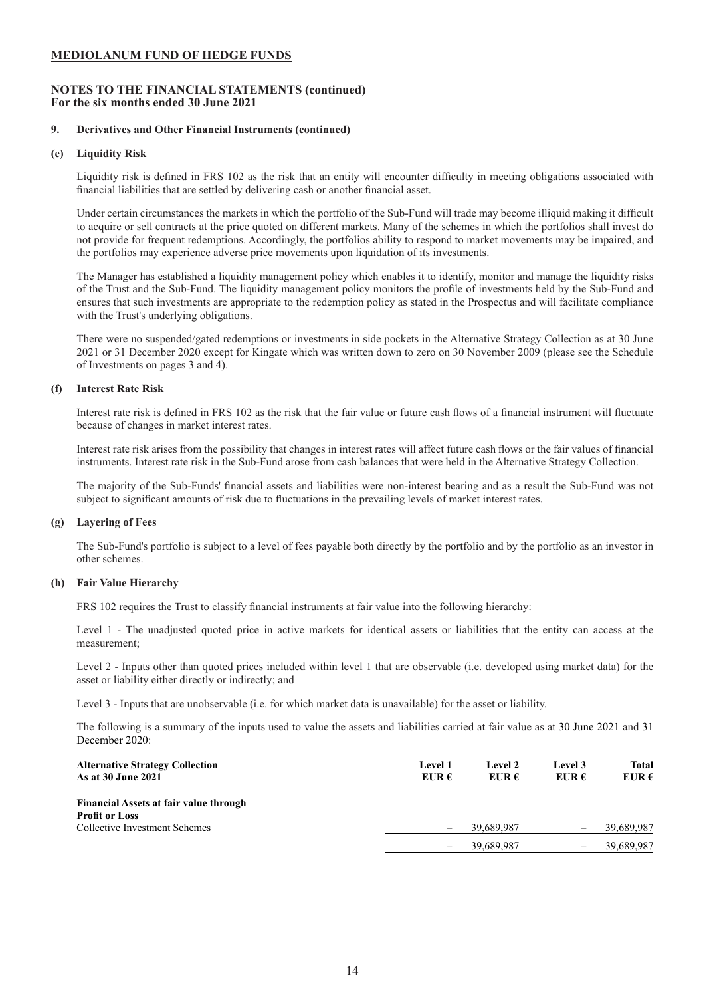## **NOTES TO THE FINANCIAL STATEMENTS (continued) For the six months ended 30 June 2021**

#### **9. Derivatives and Other Financial Instruments (continued)**

#### **(e) Liquidity Risk**

Liquidity risk is defined in FRS 102 as the risk that an entity will encounter difficulty in meeting obligations associated with financial liabilities that are settled by delivering cash or another financial asset.

Under certain circumstances the markets in which the portfolio of the Sub-Fund will trade may become illiquid making it difficult to acquire or sell contracts at the price quoted on different markets. Many of the schemes in which the portfolios shall invest do not provide for frequent redemptions. Accordingly, the portfolios ability to respond to market movements may be impaired, and the portfolios may experience adverse price movements upon liquidation of its investments.

The Manager has established a liquidity management policy which enables it to identify, monitor and manage the liquidity risks of the Trust and the Sub-Fund. The liquidity management policy monitors the profile of investments held by the Sub-Fund and ensures that such investments are appropriate to the redemption policy as stated in the Prospectus and will facilitate compliance with the Trust's underlying obligations.

There were no suspended/gated redemptions or investments in side pockets in the Alternative Strategy Collection as at 30 June 2021 or 31 December 2020 except for Kingate which was written down to zero on 30 November 2009 (please see the Schedule of Investments on pages 3 and 4).

#### **(f) Interest Rate Risk**

Interest rate risk is defined in FRS 102 as the risk that the fair value or future cash flows of a financial instrument will fluctuate because of changes in market interest rates.

Interest rate risk arises from the possibility that changes in interest rates will affect future cash flows or the fair values of financial instruments. Interest rate risk in the Sub-Fund arose from cash balances that were held in the Alternative Strategy Collection.

The majority of the Sub-Funds' financial assets and liabilities were non-interest bearing and as a result the Sub-Fund was not subject to significant amounts of risk due to fluctuations in the prevailing levels of market interest rates.

#### **(g) Layering of Fees**

The Sub-Fund's portfolio is subject to a level of fees payable both directly by the portfolio and by the portfolio as an investor in other schemes.

## **(h) Fair Value Hierarchy**

FRS 102 requires the Trust to classify financial instruments at fair value into the following hierarchy:

Level 1 - The unadjusted quoted price in active markets for identical assets or liabilities that the entity can access at the measurement;

Level 2 - Inputs other than quoted prices included within level 1 that are observable (i.e. developed using market data) for the asset or liability either directly or indirectly; and

Level 3 - Inputs that are unobservable (i.e. for which market data is unavailable) for the asset or liability.

The following is a summary of the inputs used to value the assets and liabilities carried at fair value as at 30 June 2021 and 31 December 2020:

| <b>Alternative Strategy Collection</b><br>As at 30 June 2021 | <b>Level 1</b><br>EUR $\epsilon$ | Level 2<br>EUR $\epsilon$ | Level 3<br>EUR $\epsilon$ | Total<br>EUR $\epsilon$ |
|--------------------------------------------------------------|----------------------------------|---------------------------|---------------------------|-------------------------|
| Financial Assets at fair value through                       |                                  |                           |                           |                         |
| <b>Profit or Loss</b>                                        |                                  |                           |                           |                         |
| Collective Investment Schemes                                | $\qquad \qquad -$                | 39,689,987                |                           | 39,689,987              |
|                                                              | $\qquad \qquad -$                | 39.689.987                |                           | 39.689.987              |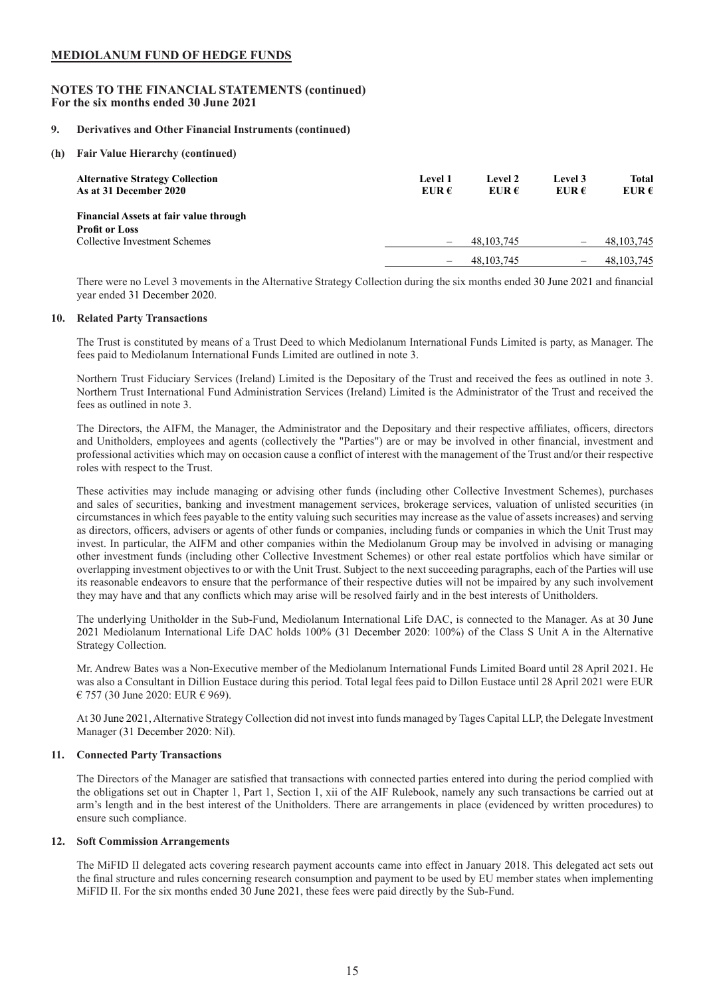## **NOTES TO THE FINANCIAL STATEMENTS (continued) For the six months ended 30 June 2021**

#### **9. Derivatives and Other Financial Instruments (continued)**

**(h) Fair Value Hierarchy (continued)**

| <b>Alternative Strategy Collection</b><br>As at 31 December 2020       | Level 1<br>EUR $\epsilon$ | Level 2<br>EUR $\epsilon$ | Level 3<br>EUR $\epsilon$ | <b>Total</b><br>EUR $\epsilon$ |
|------------------------------------------------------------------------|---------------------------|---------------------------|---------------------------|--------------------------------|
| <b>Financial Assets at fair value through</b><br><b>Profit or Loss</b> |                           |                           |                           |                                |
| Collective Investment Schemes                                          | $\qquad \qquad -$         | 48, 103, 745              | -                         | 48, 103, 745                   |
|                                                                        | -                         | 48, 103, 745              | $\qquad \qquad$           | 48, 103, 745                   |

There were no Level 3 movements in the Alternative Strategy Collection during the six months ended 30 June 2021 and financial year ended 31 December 2020.

#### **10. Related Party Transactions**

The Trust is constituted by means of a Trust Deed to which Mediolanum International Funds Limited is party, as Manager. The fees paid to Mediolanum International Funds Limited are outlined in note 3.

Northern Trust Fiduciary Services (Ireland) Limited is the Depositary of the Trust and received the fees as outlined in note 3. Northern Trust International Fund Administration Services (Ireland) Limited is the Administrator of the Trust and received the fees as outlined in note 3.

The Directors, the AIFM, the Manager, the Administrator and the Depositary and their respective affiliates, officers, directors and Unitholders, employees and agents (collectively the "Parties") are or may be involved in other financial, investment and professional activities which may on occasion cause a conflict of interest with the management of the Trust and/or their respective roles with respect to the Trust.

These activities may include managing or advising other funds (including other Collective Investment Schemes), purchases and sales of securities, banking and investment management services, brokerage services, valuation of unlisted securities (in circumstances in which fees payable to the entity valuing such securities may increase as the value of assets increases) and serving as directors, officers, advisers or agents of other funds or companies, including funds or companies in which the Unit Trust may invest. In particular, the AIFM and other companies within the Mediolanum Group may be involved in advising or managing other investment funds (including other Collective Investment Schemes) or other real estate portfolios which have similar or overlapping investment objectives to or with the Unit Trust. Subject to the next succeeding paragraphs, each of the Parties will use its reasonable endeavors to ensure that the performance of their respective duties will not be impaired by any such involvement they may have and that any conflicts which may arise will be resolved fairly and in the best interests of Unitholders.

The underlying Unitholder in the Sub-Fund, Mediolanum International Life DAC, is connected to the Manager. As at 30 June 2021 Mediolanum International Life DAC holds 100% (31 December 2020: 100%) of the Class S Unit A in the Alternative Strategy Collection.

Mr. Andrew Bates was a Non-Executive member of the Mediolanum International Funds Limited Board until 28 April 2021. He was also a Consultant in Dillion Eustace during this period. Total legal fees paid to Dillon Eustace until 28 April 2021 were EUR € 757 (30 June 2020: EUR € 969).

At 30 June 2021, Alternative Strategy Collection did not invest into funds managed by Tages Capital LLP, the Delegate Investment Manager (31 December 2020: Nil).

### **11. Connected Party Transactions**

The Directors of the Manager are satisfied that transactions with connected parties entered into during the period complied with the obligations set out in Chapter 1, Part 1, Section 1, xii of the AIF Rulebook, namely any such transactions be carried out at arm's length and in the best interest of the Unitholders. There are arrangements in place (evidenced by written procedures) to ensure such compliance.

#### **12. Soft Commission Arrangements**

The MiFID II delegated acts covering research payment accounts came into effect in January 2018. This delegated act sets out the final structure and rules concerning research consumption and payment to be used by EU member states when implementing MiFID II. For the six months ended 30 June 2021, these fees were paid directly by the Sub-Fund.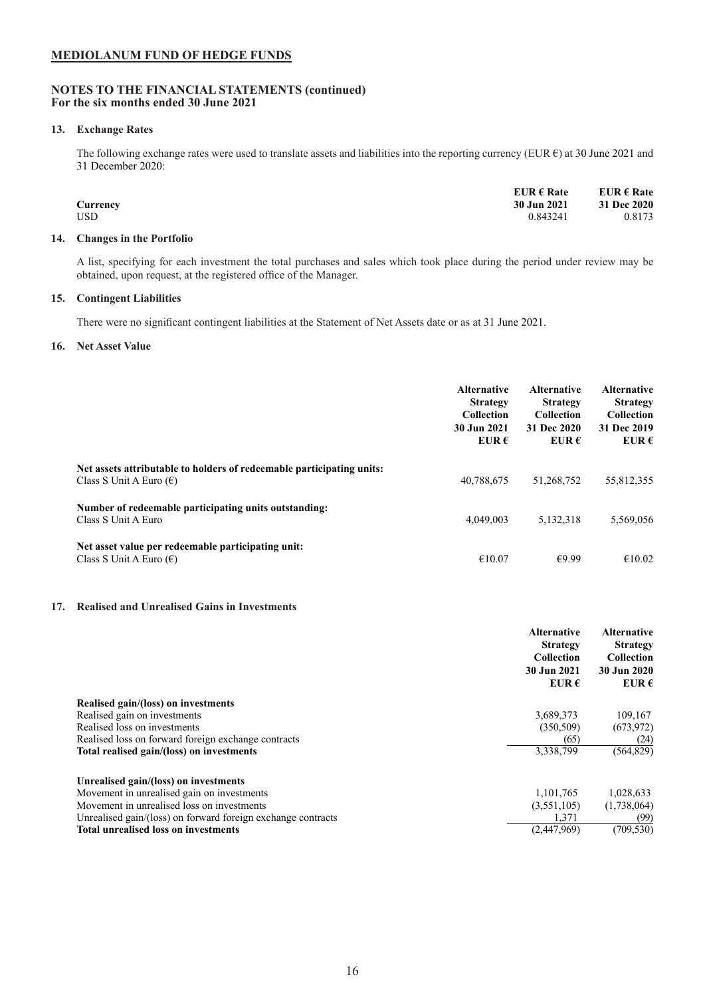## **NOTES TO THE FINANCIAL STATEMENTS (continued) For the six months ended 30 June 2021**

### **13. Exchange Rates**

The following exchange rates were used to translate assets and liabilities into the reporting currency (EUR  $\epsilon$ ) at 30 June 2021 and 31 December 2020:

|            | EUR $\epsilon$ Rate | EUR $\epsilon$ Rate |
|------------|---------------------|---------------------|
| Currency   | 30 Jun 2021         | 31 Dec 2020         |
| <b>USD</b> | 0.843241            | 0.8173              |

#### **14. Changes in the Portfolio**

A list, specifying for each investment the total purchases and sales which took place during the period under review may be obtained, upon request, at the registered office of the Manager.

## **15. Contingent Liabilities**

There were no significant contingent liabilities at the Statement of Net Assets date or as at 31 June 2021.

### **16. Net Asset Value**

|                                                                                                           | <b>Alternative</b><br><b>Strategy</b><br>Collection<br>30 Jun 2021<br>EUR $\epsilon$ | <b>Alternative</b><br><b>Strategy</b><br><b>Collection</b><br>31 Dec 2020<br>EUR $\epsilon$ | <b>Alternative</b><br><b>Strategy</b><br><b>Collection</b><br>31 Dec 2019<br>EUR $\epsilon$ |
|-----------------------------------------------------------------------------------------------------------|--------------------------------------------------------------------------------------|---------------------------------------------------------------------------------------------|---------------------------------------------------------------------------------------------|
| Net assets attributable to holders of redeemable participating units:<br>Class S Unit A Euro $(\epsilon)$ | 40,788,675                                                                           | 51,268,752                                                                                  | 55,812,355                                                                                  |
| Number of redeemable participating units outstanding:<br>Class S Unit A Euro                              | 4,049,003                                                                            | 5,132,318                                                                                   | 5,569,056                                                                                   |
| Net asset value per redeemable participating unit:<br>Class S Unit A Euro $(\epsilon)$                    | €10.07                                                                               | €9 99                                                                                       | €10.02                                                                                      |

#### **17. Realised and Unrealised Gains in Investments**

|                                                              | <b>Alternative</b><br><b>Strategy</b><br><b>Collection</b><br>30 Jun 2021<br>EUR $\epsilon$ | <b>Alternative</b><br><b>Strategy</b><br><b>Collection</b><br>30 Jun 2020<br>EUR $\epsilon$ |
|--------------------------------------------------------------|---------------------------------------------------------------------------------------------|---------------------------------------------------------------------------------------------|
| Realised gain/(loss) on investments                          |                                                                                             |                                                                                             |
| Realised gain on investments                                 | 3,689,373                                                                                   | 109,167                                                                                     |
| Realised loss on investments                                 | (350, 509)                                                                                  | (673, 972)                                                                                  |
| Realised loss on forward foreign exchange contracts          | (65)                                                                                        | (24)                                                                                        |
| Total realised gain/(loss) on investments                    | 3,338,799                                                                                   | (564, 829)                                                                                  |
| Unrealised gain/(loss) on investments                        |                                                                                             |                                                                                             |
| Movement in unrealised gain on investments                   | 1,101,765                                                                                   | 1,028,633                                                                                   |
| Movement in unrealised loss on investments                   | (3,551,105)                                                                                 | (1,738,064)                                                                                 |
| Unrealised gain/(loss) on forward foreign exchange contracts | 1,371                                                                                       | (99)                                                                                        |
| <b>Total unrealised loss on investments</b>                  | (2.447.969)                                                                                 | (709, 530)                                                                                  |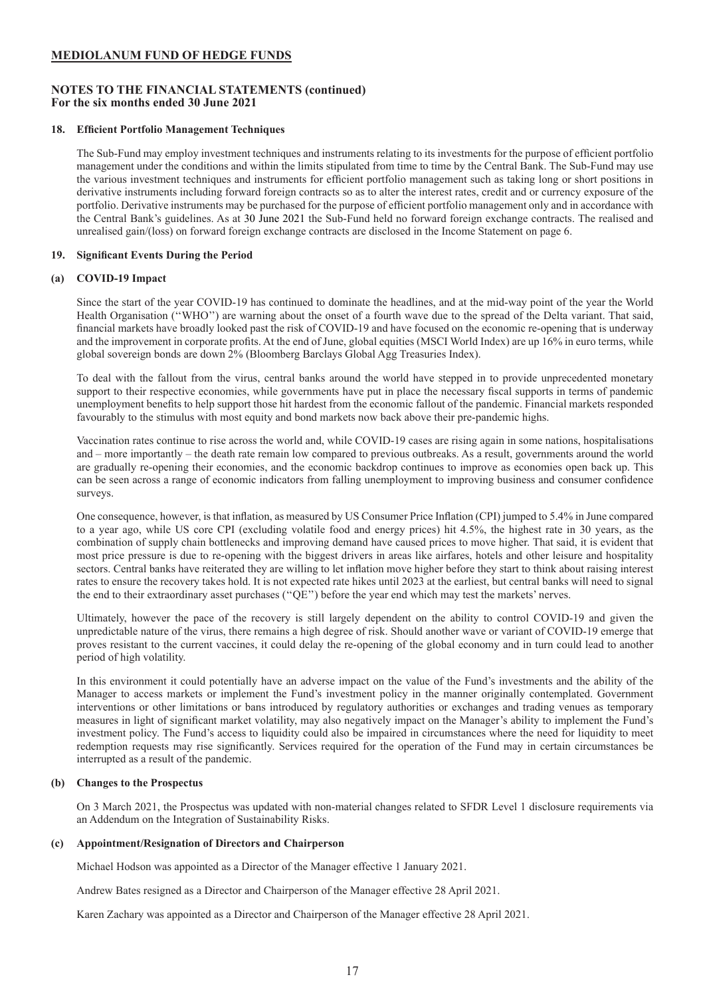## **NOTES TO THE FINANCIAL STATEMENTS (continued) For the six months ended 30 June 2021**

## **18. Efficient Portfolio Management Techniques**

The Sub-Fund may employ investment techniques and instruments relating to its investments for the purpose of efficient portfolio management under the conditions and within the limits stipulated from time to time by the Central Bank. The Sub-Fund may use the various investment techniques and instruments for efficient portfolio management such as taking long or short positions in derivative instruments including forward foreign contracts so as to alter the interest rates, credit and or currency exposure of the portfolio. Derivative instruments may be purchased for the purpose of efficient portfolio management only and in accordance with the Central Bank's guidelines. As at 30 June 2021 the Sub-Fund held no forward foreign exchange contracts. The realised and unrealised gain/(loss) on forward foreign exchange contracts are disclosed in the Income Statement on page 6.

## **19. Significant Events During the Period**

#### **(a) COVID-19 Impact**

Since the start of the year COVID-19 has continued to dominate the headlines, and at the mid-way point of the year the World Health Organisation (''WHO'') are warning about the onset of a fourth wave due to the spread of the Delta variant. That said, financial markets have broadly looked past the risk of COVID-19 and have focused on the economic re-opening that is underway and the improvement in corporate profits. At the end of June, global equities (MSCI World Index) are up 16% in euro terms, while global sovereign bonds are down 2% (Bloomberg Barclays Global Agg Treasuries Index).

To deal with the fallout from the virus, central banks around the world have stepped in to provide unprecedented monetary support to their respective economies, while governments have put in place the necessary fiscal supports in terms of pandemic unemployment benefits to help support those hit hardest from the economic fallout of the pandemic. Financial markets responded favourably to the stimulus with most equity and bond markets now back above their pre-pandemic highs.

Vaccination rates continue to rise across the world and, while COVID-19 cases are rising again in some nations, hospitalisations and – more importantly – the death rate remain low compared to previous outbreaks. As a result, governments around the world are gradually re-opening their economies, and the economic backdrop continues to improve as economies open back up. This can be seen across a range of economic indicators from falling unemployment to improving business and consumer confidence surveys.

One consequence, however, is that inflation, as measured by US Consumer Price Inflation (CPI) jumped to 5.4% in June compared to a year ago, while US core CPI (excluding volatile food and energy prices) hit 4.5%, the highest rate in 30 years, as the combination of supply chain bottlenecks and improving demand have caused prices to move higher. That said, it is evident that most price pressure is due to re-opening with the biggest drivers in areas like airfares, hotels and other leisure and hospitality sectors. Central banks have reiterated they are willing to let inflation move higher before they start to think about raising interest rates to ensure the recovery takes hold. It is not expected rate hikes until 2023 at the earliest, but central banks will need to signal the end to their extraordinary asset purchases (''QE'') before the year end which may test the markets' nerves.

Ultimately, however the pace of the recovery is still largely dependent on the ability to control COVID-19 and given the unpredictable nature of the virus, there remains a high degree of risk. Should another wave or variant of COVID-19 emerge that proves resistant to the current vaccines, it could delay the re-opening of the global economy and in turn could lead to another period of high volatility.

In this environment it could potentially have an adverse impact on the value of the Fund's investments and the ability of the Manager to access markets or implement the Fund's investment policy in the manner originally contemplated. Government interventions or other limitations or bans introduced by regulatory authorities or exchanges and trading venues as temporary measures in light of significant market volatility, may also negatively impact on the Manager's ability to implement the Fund's investment policy. The Fund's access to liquidity could also be impaired in circumstances where the need for liquidity to meet redemption requests may rise significantly. Services required for the operation of the Fund may in certain circumstances be interrupted as a result of the pandemic.

#### **(b) Changes to the Prospectus**

On 3 March 2021, the Prospectus was updated with non-material changes related to SFDR Level 1 disclosure requirements via an Addendum on the Integration of Sustainability Risks.

#### **(c) Appointment/Resignation of Directors and Chairperson**

Michael Hodson was appointed as a Director of the Manager effective 1 January 2021.

Andrew Bates resigned as a Director and Chairperson of the Manager effective 28 April 2021.

Karen Zachary was appointed as a Director and Chairperson of the Manager effective 28 April 2021.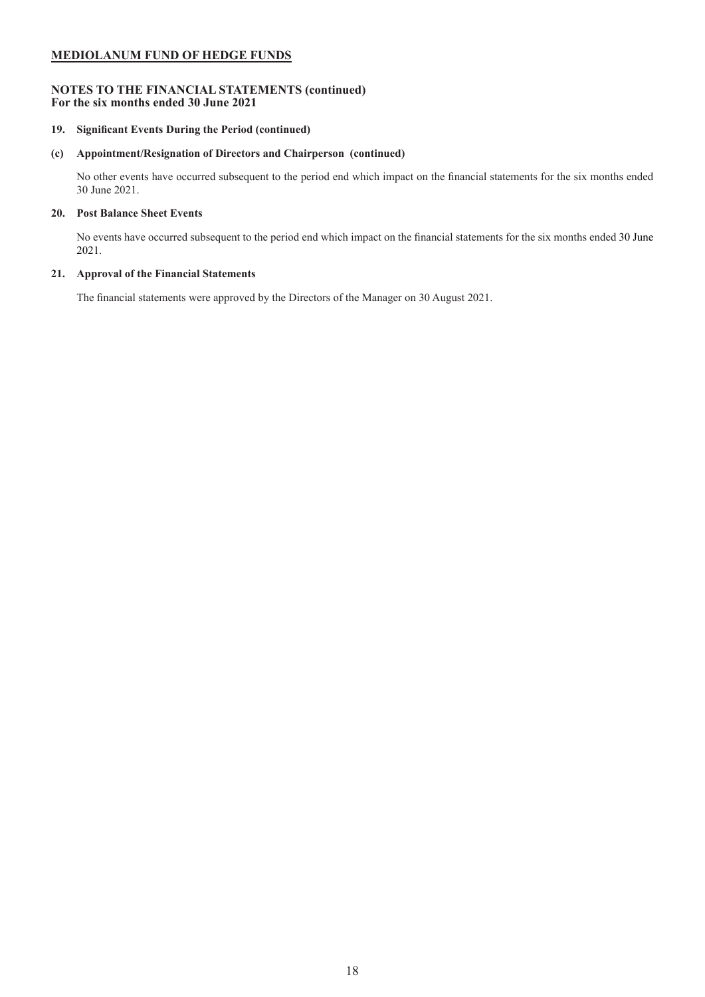## **NOTES TO THE FINANCIAL STATEMENTS (continued) For the six months ended 30 June 2021**

## **19. Significant Events During the Period (continued)**

## **(c) Appointment/Resignation of Directors and Chairperson (continued)**

No other events have occurred subsequent to the period end which impact on the financial statements for the six months ended 30 June 2021.

### **20. Post Balance Sheet Events**

No events have occurred subsequent to the period end which impact on the financial statements for the six months ended 30 June 2021.

## **21. Approval of the Financial Statements**

The financial statements were approved by the Directors of the Manager on 30 August 2021.